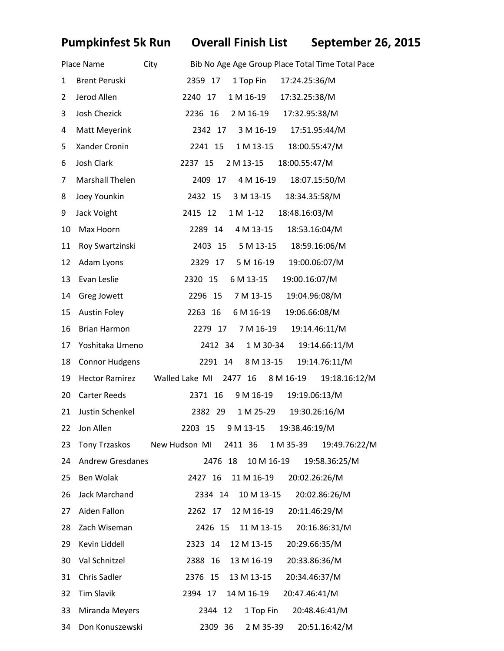**Pumpkinfest 5k Run Overall Finish List September 26, 2015** 

|    | Place Name              | Bib No Age Age Group Place Total Time Total Pace<br>City             |
|----|-------------------------|----------------------------------------------------------------------|
| 1  | <b>Brent Peruski</b>    | 1 Top Fin<br>17:24.25:36/M<br>2359 17                                |
| 2  | Jerod Allen             | 1 M 16-19<br>17:32.25:38/M<br>2240 17                                |
| 3  | Josh Chezick            | 2 M 16-19<br>17:32.95:38/M<br>2236 16                                |
| 4  | Matt Meyerink           | 3 M 16-19<br>17:51.95:44/M<br>2342 17                                |
| 5  | Xander Cronin           | 1 M 13-15<br>18:00.55:47/M<br>2241 15                                |
| 6  | Josh Clark              | 18:00.55:47/M<br>2237 15<br>2 M 13-15                                |
| 7  | Marshall Thelen         | 18:07.15:50/M<br>2409 17<br>4 M 16-19                                |
| 8  | Joey Younkin            | 18:34.35:58/M<br>2432 15<br>3 M 13-15                                |
| 9  | Jack Voight             | 2415 12<br>18:48.16:03/M<br>1 M 1-12                                 |
| 10 | Max Hoorn               | 2289 14<br>4 M 13-15<br>18:53.16:04/M                                |
| 11 | Roy Swartzinski         | 18:59.16:06/M<br>2403 15<br>5 M 13-15                                |
| 12 | Adam Lyons              | 19:00.06:07/M<br>5 M 16-19<br>2329 17                                |
| 13 | Evan Leslie             | 2320 15<br>6 M 13-15<br>19:00.16:07/M                                |
| 14 | Greg Jowett             | 19:04.96:08/M<br>2296 15<br>7 M 13-15                                |
| 15 | <b>Austin Foley</b>     | 19:06.66:08/M<br>6 M 16-19<br>2263 16                                |
| 16 | <b>Brian Harmon</b>     | 19:14.46:11/M<br>2279 17<br>7 M 16-19                                |
| 17 | Yoshitaka Umeno         | 19:14.66:11/M<br>2412 34<br>1 M 30-34                                |
| 18 | <b>Connor Hudgens</b>   | 19:14.76:11/M<br>2291 14<br>8 M 13-15                                |
| 19 | <b>Hector Ramirez</b>   | Walled Lake MI 2477 16<br>19:18.16:12/M<br>8 M 16-19                 |
| 20 | <b>Carter Reeds</b>     | 9 M 16-19<br>19:19.06:13/M<br>2371 16                                |
| 21 | Justin Schenkel         | 1 M 25-29<br>19:30.26:16/M<br>2382 29                                |
|    | 22 Jon Allen            | 2203 15 9 M 13-15 19:38.46:19/M                                      |
| 23 |                         | Tony Trzaskos New Hudson MI<br>2411 36<br>1 M 35-39<br>19:49.76:22/M |
| 24 | <b>Andrew Gresdanes</b> | 10 M 16-19<br>2476 18<br>19:58.36:25/M                               |
| 25 | Ben Wolak               | 2427 16<br>11 M 16-19<br>20:02.26:26/M                               |
| 26 | Jack Marchand           | 10 M 13-15<br>20:02.86:26/M<br>2334 14                               |
| 27 | Aiden Fallon            | 2262 17<br>12 M 16-19<br>20:11.46:29/M                               |
| 28 | Zach Wiseman            | 2426 15<br>11 M 13-15<br>20:16.86:31/M                               |
| 29 | Kevin Liddell           | 2323 14<br>12 M 13-15<br>20:29.66:35/M                               |
| 30 | Val Schnitzel           | 2388<br>13 M 16-19<br>20:33.86:36/M<br>16                            |
| 31 | Chris Sadler            | 2376 15<br>20:34.46:37/M<br>13 M 13-15                               |
| 32 | <b>Tim Slavik</b>       | 14 M 16-19<br>2394 17<br>20:47.46:41/M                               |
| 33 | Miranda Meyers          | 12<br>1 Top Fin<br>20:48.46:41/M<br>2344                             |
| 34 | Don Konuszewski         | 36<br>2309<br>2 M 35-39<br>20:51.16:42/M                             |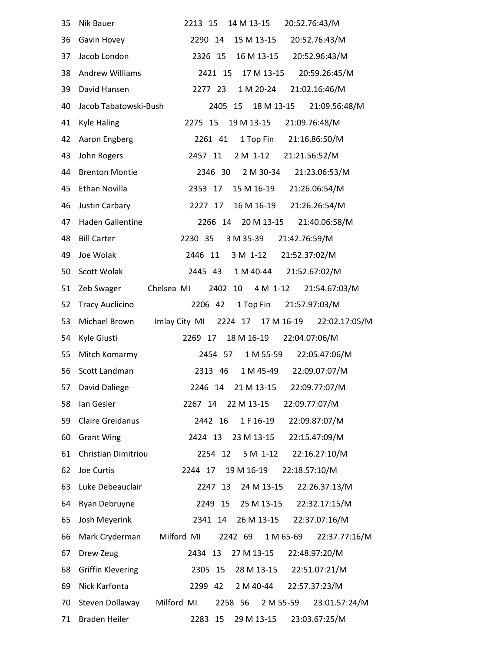| 35 | 14 M 13-15<br>Nik Bauer<br>2213 15<br>20:52.76:43/M                    |
|----|------------------------------------------------------------------------|
| 36 | 15 M 13-15<br>20:52.76:43/M<br>Gavin Hovey<br>2290 14                  |
| 37 | Jacob London<br>16 M 13-15<br>20:52.96:43/M<br>2326 15                 |
| 38 | <b>Andrew Williams</b><br>20:59.26:45/M<br>2421 15<br>17 M 13-15       |
| 39 | 1 M 20-24<br>David Hansen<br>2277 23<br>21:02.16:46/M                  |
| 40 | Jacob Tabatowski-Bush<br>18 M 13-15 21:09.56:48/M<br>2405 15           |
| 41 | <b>Kyle Haling</b><br>2275 15<br>19 M 13-15<br>21:09.76:48/M           |
| 42 | 1 Top Fin 21:16.86:50/M<br>Aaron Engberg<br>2261 41                    |
| 43 | 2 M 1-12 21:21.56:52/M<br>John Rogers<br>2457 11                       |
| 44 | <b>Brenton Montie</b><br>21:23.06:53/M<br>2346 30<br>2 M 30-34         |
| 45 | Ethan Novilla<br>21:26.06:54/M<br>2353<br>17<br>15 M 16-19             |
| 46 | 16 M 16-19<br>21:26.26:54/M<br>Justin Carbary<br>2227 17               |
| 47 | <b>Haden Gallentine</b><br>20 M 13-15<br>21:40.06:58/M<br>2266<br>14   |
| 48 | <b>Bill Carter</b><br>2230 35<br>3 M 35-39<br>21:42.76:59/M            |
| 49 | 3 M 1-12 21:52.37:02/M<br>Joe Wolak<br>2446 11                         |
| 50 | 1 M 40-44<br>21:52.67:02/M<br>Scott Wolak<br>2445 43                   |
| 51 | Chelsea MI<br>2402 10 4 M 1-12<br>21:54.67:03/M<br>Zeb Swager          |
| 52 | <b>Tracy Auclicino</b><br>2206 42<br>1 Top Fin<br>21:57.97:03/M        |
| 53 | Michael Brown<br>Imlay City MI<br>2224 17 17 M 16-19 22:02.17:05/M     |
| 54 | 22:04.07:06/M<br>Kyle Giusti<br>2269 17<br>18 M 16-19                  |
| 55 | Mitch Komarmy<br>1 M 55-59<br>22:05.47:06/M<br>2454 57                 |
| 56 | 1 M 45-49<br>22:09.07:07/M<br>Scott Landman<br>2313 46                 |
| 57 | 2246 14 21 M 13-15 22:09.77:07/M<br>David Daliege                      |
| 58 | 22:09.77:07/M<br>Ian Gesler<br>22 M 13-15<br>2267 14                   |
| 59 | <b>Claire Greidanus</b><br>2442 16<br>1 F 16-19<br>22:09.87:07/M       |
| 60 | 23 M 13-15<br>22:15.47:09/M<br><b>Grant Wing</b><br>2424 13            |
| 61 | Christian Dimitriou<br>5 M 1-12<br>22:16.27:10/M<br>2254 12            |
| 62 | Joe Curtis<br>2244 17<br>19 M 16-19<br>22:18.57:10/M                   |
| 63 | Luke Debeauclair<br>2247<br>24 M 13-15<br>22:26.37:13/M<br>13          |
| 64 | Ryan Debruyne<br>2249 15<br>25 M 13-15<br>22:32.17:15/M                |
| 65 | Josh Meyerink<br>26 M 13-15<br>22:37.07:16/M<br>2341 14                |
| 66 | Mark Cryderman<br>Milford MI<br>2242 69<br>1 M 65-69<br>22:37.77:16/M  |
| 67 | 27 M 13-15<br>Drew Zeug<br>2434 13<br>22:48.97:20/M                    |
| 68 | <b>Griffin Klevering</b><br>22:51.07:21/M<br>2305 15<br>28 M 13-15     |
| 69 | Nick Karfonta<br>2299<br>2 M 40-44<br>22:57.37:23/M<br>42              |
| 70 | Milford MI<br>Steven Dollaway<br>2258 56<br>2 M 55-59<br>23:01.57:24/M |
| 71 | <b>Braden Heiler</b><br>23:03.67:25/M<br>2283 15<br>29 M 13-15         |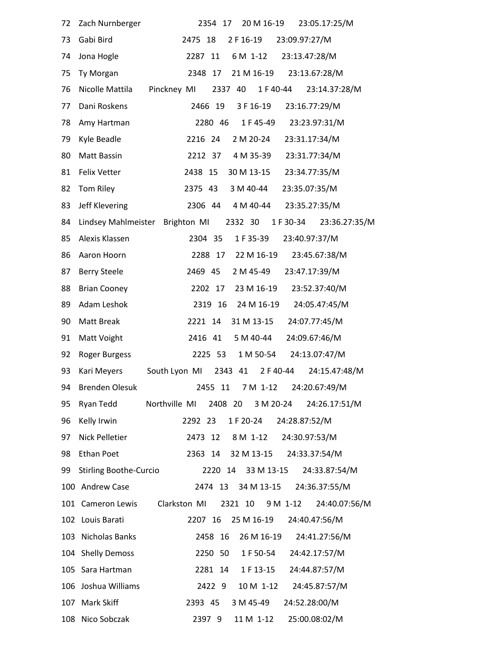| 72  | Zach Nurnberger                 | 20 M 16-19<br>23:05.17:25/M<br>2354<br>17               |
|-----|---------------------------------|---------------------------------------------------------|
| 73  | Gabi Bird                       | 2 F 16-19<br>23:09.97:27/M<br>2475 18                   |
| 74  | Jona Hogle                      | 23:13.47:28/M<br>2287<br>6 M 1-12<br>11                 |
| 75  | Ty Morgan                       | 23:13.67:28/M<br>2348<br>17<br>21 M 16-19               |
| 76  | Nicolle Mattila                 | Pinckney MI<br>2337 40<br>1 F 40-44<br>23:14.37:28/M    |
| 77  | Dani Roskens                    | 2466 19<br>3 F 16-19<br>23:16.77:29/M                   |
| 78  | Amy Hartman                     | 23:23.97:31/M<br>2280 46<br>1 F 45-49                   |
| 79  | Kyle Beadle                     | 2216 24<br>2 M 20-24<br>23:31.17:34/M                   |
| 80  | Matt Bassin                     | 23:31.77:34/M<br>2212 37<br>4 M 35-39                   |
| 81  | Felix Vetter                    | 2438 15<br>30 M 13-15<br>23:34.77:35/M                  |
| 82  | Tom Riley                       | 2375 43<br>3 M 40-44<br>23:35.07:35/M                   |
| 83  | Jeff Klevering                  | 2306 44<br>4 M 40-44<br>23:35.27:35/M                   |
| 84  | Lindsey Mahlmeister Brighton MI | 2332 30 1 F 30-34<br>23:36.27:35/M                      |
| 85  | Alexis Klassen                  | 2304 35<br>1 F 35-39<br>23:40.97:37/M                   |
| 86  | Aaron Hoorn                     | 23:45.67:38/M<br>2288 17<br>22 M 16-19                  |
| 87  | <b>Berry Steele</b>             | 2469 45<br>2 M 45-49<br>23:47.17:39/M                   |
| 88  | <b>Brian Cooney</b>             | 23:52.37:40/M<br>2202 17<br>23 M 16-19                  |
| 89  | Adam Leshok                     | 24 M 16-19<br>24:05.47:45/M<br>2319 16                  |
| 90  | Matt Break                      | 31 M 13-15<br>24:07.77:45/M<br>2221 14                  |
| 91  | Matt Voight                     | 5 M 40-44<br>24:09.67:46/M<br>2416 41                   |
| 92  | Roger Burgess                   | 1 M 50-54<br>24:13.07:47/M<br>2225 53                   |
| 93  | Kari Meyers                     | 2343 41 2 F 40-44<br>24:15.47:48/M<br>South Lyon MI     |
|     | 94 Brenden Olesuk               | 2455 11 7 M 1-12 24:20.67:49/M                          |
| 95  |                                 | Ryan Tedd Morthville MI 2408 20 3 M 20-24 24:26.17:51/M |
| 96  | Kelly Irwin                     | 2292 23<br>1 F 20-24<br>24:28.87:52/M                   |
| 97  | Nick Pelletier                  | 2473 12 8 M 1-12<br>24:30.97:53/M                       |
| 98  | <b>Ethan Poet</b>               | 2363 14 32 M 13-15 24:33.37:54/M                        |
| 99  | <b>Stirling Boothe-Curcio</b>   | 2220 14 33 M 13-15<br>24:33.87:54/M                     |
|     | 100 Andrew Case                 | 2474 13 34 M 13-15<br>24:36.37:55/M                     |
|     | 101 Cameron Lewis               | Clarkston MI<br>2321 10 9 M 1-12 24:40.07:56/M          |
|     | 102 Louis Barati                | 25 M 16-19<br>24:40.47:56/M<br>2207 16                  |
|     | 103 Nicholas Banks              | 24:41.27:56/M<br>2458 16<br>26 M 16-19                  |
|     | 104 Shelly Demoss               | 24:42.17:57/M<br>2250 50<br>1 F 50-54                   |
|     | 105 Sara Hartman                | 2281 14 1 F 13-15<br>24:44.87:57/M                      |
| 106 | Joshua Williams                 | 2422 9<br>10 M 1-12<br>24:45.87:57/M                    |
|     | 107 Mark Skiff                  | 3 M 45-49<br>24:52.28:00/M<br>2393 45                   |
|     | 108 Nico Sobczak                | 25:00.08:02/M<br>2397 9<br>11 M 1-12                    |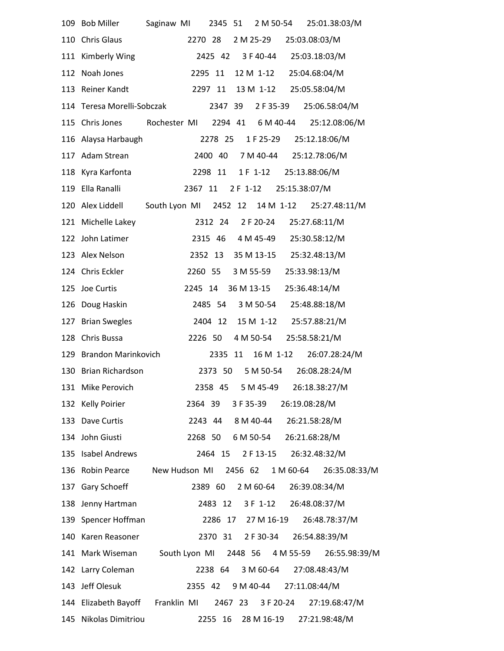| 109 Bob Miller                   | Saginaw MI                                    | 2345 51 |          | 2 M 50-54          | 25:01.38:03/M                   |  |
|----------------------------------|-----------------------------------------------|---------|----------|--------------------|---------------------------------|--|
| 110 Chris Glaus                  | 2270 28                                       |         |          | 2 M 25-29          | 25:03.08:03/M                   |  |
| 111 Kimberly Wing                |                                               |         |          | 2425 42 3 F 40-44  | 25:03.18:03/M                   |  |
| 112 Noah Jones                   |                                               | 2295 11 |          | 12 M 1-12          | 25:04.68:04/M                   |  |
| 113 Reiner Kandt                 | 2297 11                                       |         |          | 13 M 1-12          | 25:05.58:04/M                   |  |
| 114 Teresa Morelli-Sobczak       |                                               | 2347 39 |          | 2 F 35-39          | 25:06.58:04/M                   |  |
| 115 Chris Jones                  | Rochester MI 2294 41 6 M 40-44                |         |          |                    | 25:12.08:06/M                   |  |
| 116 Alaysa Harbaugh              |                                               | 2278 25 |          | 1 F 25-29          | 25:12.18:06/M                   |  |
| 117 Adam Strean                  |                                               | 2400 40 |          | 7 M 40-44          | 25:12.78:06/M                   |  |
| 118 Kyra Karfonta                |                                               | 2298 11 |          |                    | 1 F 1-12 25:13.88:06/M          |  |
| 119 Ella Ranalli                 | 2367 11                                       |         | 2 F 1-12 |                    | 25:15.38:07/M                   |  |
| 120 Alex Liddell                 | South Lyon MI 2452 12 14 M 1-12 25:27.48:11/M |         |          |                    |                                 |  |
| 121 Michelle Lakey               |                                               |         |          | 2312 24 2 F 20-24  | 25:27.68:11/M                   |  |
| 122 John Latimer                 |                                               | 2315 46 |          | 4 M 45-49          | 25:30.58:12/M                   |  |
| 123 Alex Nelson                  |                                               | 2352 13 |          | 35 M 13-15         | 25:32.48:13/M                   |  |
| 124 Chris Eckler                 |                                               | 2260 55 |          | 3 M 55-59          | 25:33.98:13/M                   |  |
| 125 Joe Curtis                   | 2245 14                                       |         |          | 36 M 13-15         | 25:36.48:14/M                   |  |
| 126 Doug Haskin                  |                                               | 2485 54 |          | 3 M 50-54          | 25:48.88:18/M                   |  |
| 127 Brian Swegles                |                                               | 2404 12 |          |                    | 15 M 1-12 25:57.88:21/M         |  |
| 128 Chris Bussa                  |                                               | 2226 50 |          | 4 M 50-54          | 25:58.58:21/M                   |  |
| 129 Brandon Marinkovich          |                                               | 2335    | 11       | 16 M 1-12          | 26:07.28:24/M                   |  |
| 130 Brian Richardson             |                                               | 2373 50 |          | 5 M 50-54          | 26:08.28:24/M                   |  |
| 131 Mike Perovich                |                                               |         |          |                    | 2358 45 5 M 45-49 26:18.38:27/M |  |
| 132 Kelly Poirier                |                                               | 2364 39 |          | 3 F 35-39          | 26:19.08:28/M                   |  |
| 133 Dave Curtis                  |                                               |         |          |                    | 2243 44 8 M 40-44 26:21.58:28/M |  |
| 134 John Giusti                  |                                               | 2268 50 |          |                    | 6 M 50-54 26:21.68:28/M         |  |
| 135 Isabel Andrews               |                                               |         |          |                    | 2464 15 2 F 13-15 26:32.48:32/M |  |
| 136 Robin Pearce New Hudson MI   |                                               |         |          |                    | 2456 62 1 M 60-64 26:35.08:33/M |  |
| 137 Gary Schoeff                 |                                               | 2389 60 |          | 2 M 60-64          | 26:39.08:34/M                   |  |
| 138 Jenny Hartman                |                                               | 2483 12 |          |                    | 3 F 1-12 26:48.08:37/M          |  |
| 139 Spencer Hoffman              |                                               |         |          | 2286 17 27 M 16-19 | 26:48.78:37/M                   |  |
| 140 Karen Reasoner               |                                               | 2370 31 |          | 2 F 30-34          | 26:54.88:39/M                   |  |
| 141 Mark Wiseman                 | South Lyon MI 2448 56 4 M 55-59               |         |          |                    | 26:55.98:39/M                   |  |
| 142 Larry Coleman                |                                               | 2238 64 |          | 3 M 60-64          | 27:08.48:43/M                   |  |
| 143 Jeff Olesuk                  | 2355 42                                       |         |          | 9 M 40-44          | 27:11.08:44/M                   |  |
| 144 Elizabeth Bayoff Franklin MI |                                               |         |          | 2467 23 3 F 20-24  | 27:19.68:47/M                   |  |
| 145 Nikolas Dimitriou            |                                               |         |          | 2255 16 28 M 16-19 | 27:21.98:48/M                   |  |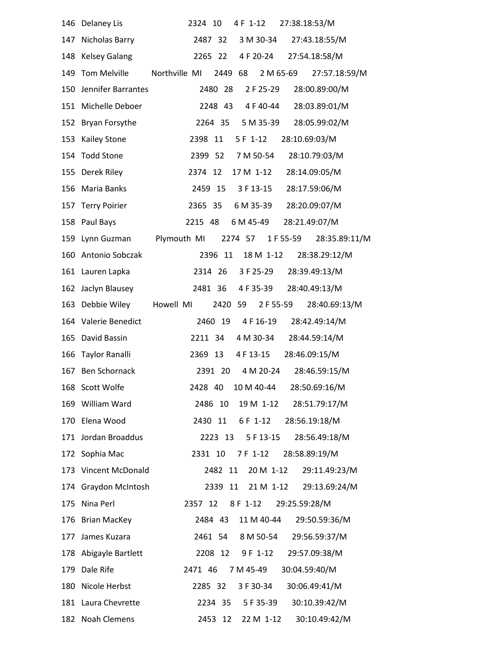| 146 | Delaney Lis             | 27:38.18:53/M<br>2324 10<br>4 F 1-12                   |
|-----|-------------------------|--------------------------------------------------------|
| 147 | Nicholas Barry          | 3 M 30-34<br>27:43.18:55/M<br>2487 32                  |
| 148 | <b>Kelsey Galang</b>    | 27:54.18:58/M<br>2265 22<br>4 F 20-24                  |
| 149 | <b>Tom Melville</b>     | Northville MI<br>2449 68<br>2 M 65-69<br>27:57.18:59/M |
| 150 | Jennifer Barrantes      | 2480 28<br>2 F 25-29<br>28:00.89:00/M                  |
| 151 | Michelle Deboer         | 4 F 40-44<br>28:03.89:01/M<br>2248 43                  |
| 152 | Bryan Forsythe          | 5 M 35-39<br>28:05.99:02/M<br>2264 35                  |
| 153 | <b>Kailey Stone</b>     | 28:10.69:03/M<br>2398 11<br>$5F 1-12$                  |
|     | 154 Todd Stone          | 7 M 50-54<br>28:10.79:03/M<br>2399 52                  |
| 155 | Derek Riley             | 28:14.09:05/M<br>2374 12<br>17 M 1-12                  |
| 156 | Maria Banks             | 2459 15<br>3 F 13-15<br>28:17.59:06/M                  |
| 157 | <b>Terry Poirier</b>    | 28:20.09:07/M<br>2365 35<br>6 M 35-39                  |
|     | 158 Paul Bays           | 6 M 45-49<br>28:21.49:07/M<br>2215 48                  |
|     | 159 Lynn Guzman         | Plymouth MI<br>2274 57<br>1 F 55-59<br>28:35.89:11/M   |
| 160 | Antonio Sobczak         | 2396 11<br>18 M 1-12<br>28:38.29:12/M                  |
|     | 161 Lauren Lapka        | 3 F 25-29<br>28:39.49:13/M<br>2314 26                  |
| 162 | Jaclyn Blausey          | 28:40.49:13/M<br>2481 36<br>4 F 35-39                  |
| 163 | Debbie Wiley            | Howell MI<br>2420<br>59<br>2 F 55-59<br>28:40.69:13/M  |
| 164 | Valerie Benedict        | 2460 19<br>4 F 16-19<br>28:42.49:14/M                  |
| 165 | David Bassin            | 28:44.59:14/M<br>4 M 30-34<br>2211 34                  |
| 166 | Taylor Ranalli          | 2369 13<br>4 F 13-15<br>28:46.09:15/M                  |
| 167 | <b>Ben Schornack</b>    | 2391 20<br>4 M 20-24<br>28:46.59:15/M                  |
|     | 168 Scott Wolfe         | 2428 40 10 M 40-44 28:50.69:16/M                       |
|     | 169 William Ward        | 28:51.79:17/M<br>2486<br>10<br>19 M 1-12               |
| 170 | Elena Wood              | 2430<br>11<br>6 F 1-12<br>28:56.19:18/M                |
|     | 171 Jordan Broaddus     | 5 F 13-15<br>2223 13<br>28:56.49:18/M                  |
|     | 172 Sophia Mac          | 2331 10<br>7 F 1-12<br>28:58.89:19/M                   |
| 173 | <b>Vincent McDonald</b> | 2482<br>11<br>20 M 1-12<br>29:11.49:23/M               |
| 174 | Graydon McIntosh        | 21 M 1-12<br>29:13.69:24/M<br>2339<br>11               |
| 175 | Nina Perl               | 2357 12<br>8 F 1-12<br>29:25.59:28/M                   |
| 176 | <b>Brian MacKey</b>     | 2484 43<br>11 M 40-44<br>29:50.59:36/M                 |
| 177 | James Kuzara            | 29:56.59:37/M<br>2461 54<br>8 M 50-54                  |
|     | 178 Abigayle Bartlett   | 29:57.09:38/M<br>2208 12<br>9 F 1-12                   |
| 179 | Dale Rife               | 7 M 45-49<br>30:04.59:40/M<br>2471 46                  |
| 180 | Nicole Herbst           | 3 F 30-34<br>30:06.49:41/M<br>2285 32                  |
|     | 181 Laura Chevrette     | 5 F 35-39<br>30:10.39:42/M<br>2234 35                  |
|     | 182 Noah Clemens        | 22 M 1-12 30:10.49:42/M<br>2453 12                     |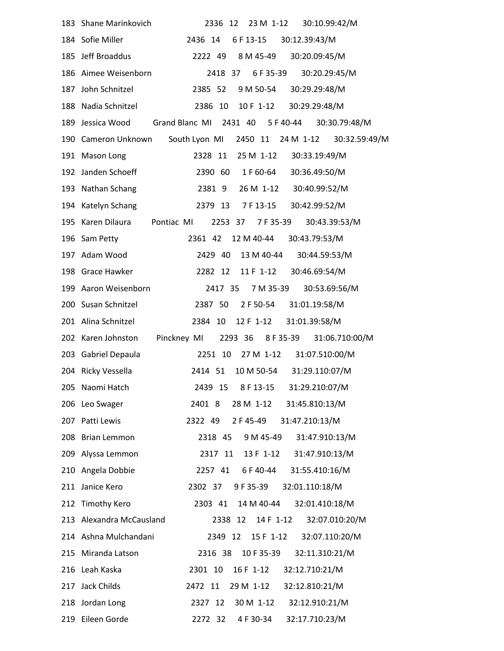|     | 183 Shane Marinkovich<br>23 M 1-12<br>2336<br>30:10.99:42/M<br>12          |
|-----|----------------------------------------------------------------------------|
|     | 184 Sofie Miller<br>6 F 13-15<br>2436 14<br>30:12.39:43/M                  |
|     | 185 Jeff Broaddus<br>2222 49 8 M 45-49<br>30:20.09:45/M                    |
|     | 2418 37 6 F 35-39 30:20.29:45/M<br>186 Aimee Weisenborn                    |
| 187 | 30:29.29:48/M<br>John Schnitzel<br>2385 52<br>9 M 50-54                    |
|     | 30:29.29:48/M<br>188 Nadia Schnitzel<br>2386 10<br>10 F 1-12               |
| 189 | Jessica Wood Grand Blanc MI 2431 40 5 F 40-44<br>30:30.79:48/M             |
|     | South Lyon MI<br>30:32.59:49/M<br>190 Cameron Unknown<br>2450 11 24 M 1-12 |
|     | 191 Mason Long<br>2328 11<br>25 M 1-12 30:33.19:49/M                       |
|     | 192 Janden Schoeff<br>30:36.49:50/M<br>2390 60<br>1 F 60-64                |
|     | 26 M 1-12 30:40.99:52/M<br>193 Nathan Schang<br>23819                      |
|     | 30:42.99:52/M<br>194 Katelyn Schang<br>2379 13<br>7 F 13-15                |
|     | 195 Karen Dilaura Pontiac MI<br>30:43.39:53/M<br>2253 37 7 F 35-39         |
|     | 196 Sam Petty<br>12 M 40-44<br>30:43.79:53/M<br>2361 42                    |
|     | 197 Adam Wood<br>2429 40<br>13 M 40-44<br>30:44.59:53/M                    |
|     | 11 F 1-12 30:46.69:54/M<br>198 Grace Hawker<br>2282 12                     |
|     | 199 Aaron Weisenborn<br>2417 35<br>7 M 35-39<br>30:53.69:56/M              |
|     | 2 F 50-54 31:01.19:58/M<br>200 Susan Schnitzel<br>2387 50                  |
|     | 201 Alina Schnitzel<br>2384 10<br>12 F 1-12 31:01.39:58/M                  |
|     | Pinckney MI 2293 36 8 F 35-39 31:06.710:00/M<br>202 Karen Johnston         |
|     | 31:07.510:00/M<br>203 Gabriel Depaula<br>2251 10<br>27 M 1-12              |
|     | 10 M 50-54 31:29.110:07/M<br>204 Ricky Vessella<br>2414 51                 |
|     | 2439 15 8 F 13-15<br>31:29.210:07/M<br>205 Naomi Hatch                     |
|     | 28 M 1-12 31:45.810:13/M<br>206 Leo Swager<br>2401 8                       |
|     | 31:47.210:13/M<br>207 Patti Lewis<br>2322 49<br>2 F 45-49                  |
|     | 208 Brian Lemmon<br>2318 45<br>9 M 45-49 31:47.910:13/M                    |
| 209 | 13 F 1-12 31:47.910:13/M<br>Alyssa Lemmon<br>2317 11                       |
| 210 | Angela Dobbie<br>6 F 40-44<br>31:55.410:16/M<br>2257 41                    |
| 211 | 2302 37 9 F 35-39<br>32:01.110:18/M<br>Janice Kero                         |
|     | 212 Timothy Kero<br>2303 41 14 M 40-44 32:01.410:18/M                      |
|     | 213 Alexandra McCausland<br>14 F 1-12<br>32:07.010:20/M<br>2338 12         |
|     | 214 Ashna Mulchandani<br>2349 12 15 F 1-12<br>32:07.110:20/M               |
|     | 215 Miranda Latson<br>10 F 35-39<br>2316 38<br>32:11.310:21/M              |
|     | 216 Leah Kaska<br>2301 10<br>16 F 1-12<br>32:12.710:21/M                   |
| 217 | Jack Childs<br>29 M 1-12 32:12.810:21/M<br>2472 11                         |
|     | 30 M 1-12 32:12.910:21/M<br>218 Jordan Long<br>2327 12                     |
|     | 219 Eileen Gorde<br>2272 32<br>4 F 30-34 32:17.710:23/M                    |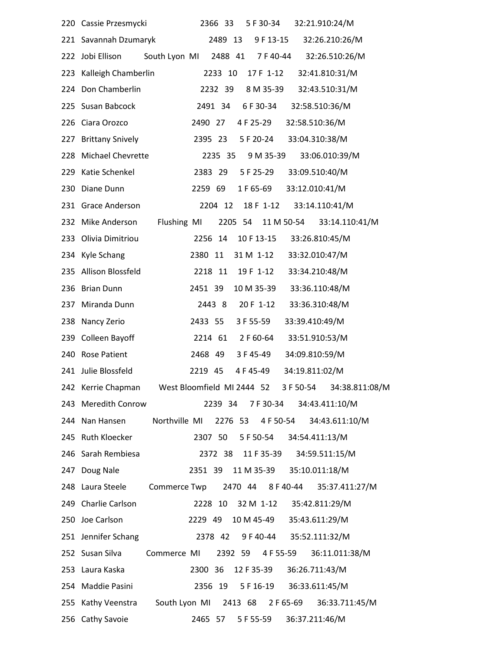|     | 220 Cassie Przesmycki                                                  |                    | 2366 33 |           | 5 F 30-34          |                | 32:21.910:24/M                               |  |
|-----|------------------------------------------------------------------------|--------------------|---------|-----------|--------------------|----------------|----------------------------------------------|--|
|     | 221 Savannah Dzumaryk                                                  |                    | 2489 13 |           | 9 F 13-15          |                | 32:26.210:26/M                               |  |
|     | South Lyon MI 2488 41 7 F 40-44<br>222 Jobi Ellison                    |                    |         |           |                    |                | 32:26.510:26/M                               |  |
| 223 | Kalleigh Chamberlin                                                    |                    | 2233 10 |           | 17 F 1-12          |                | 32:41.810:31/M                               |  |
| 224 | Don Chamberlin                                                         |                    | 2232 39 |           | 8 M 35-39          |                | 32:43.510:31/M                               |  |
| 225 | Susan Babcock                                                          | 2491 34            |         |           | 6 F 30-34          |                | 32:58.510:36/M                               |  |
| 226 | Ciara Orozco                                                           | 2490 27            |         |           | 4 F 25-29          |                | 32:58.510:36/M                               |  |
| 227 | <b>Brittany Snively</b>                                                | 2395 23            |         |           | 5 F 20-24          |                | 33:04.310:38/M                               |  |
| 228 | Michael Chevrette                                                      |                    | 2235 35 |           | 9 M 35-39          |                | 33:06.010:39/M                               |  |
| 229 | Katie Schenkel                                                         | 2383 29            |         |           | 5 F 25-29          |                | 33:09.510:40/M                               |  |
| 230 | Diane Dunn                                                             | 2259 69            |         |           | 1 F 65-69          |                | 33:12.010:41/M                               |  |
|     | 231 Grace Anderson                                                     |                    | 2204 12 |           | 18 F 1-12          |                | 33:14.110:41/M                               |  |
| 232 | Mike Anderson<br>Flushing MI                                           |                    |         |           |                    |                | 2205 54 11 M 50-54 33:14.110:41/M            |  |
| 233 | Olivia Dimitriou                                                       | 2256 14            |         |           | 10 F 13-15         |                | 33:26.810:45/M                               |  |
|     | 234 Kyle Schang                                                        | 2380 11            |         |           | 31 M 1-12          |                | 33:32.010:47/M                               |  |
| 235 | Allison Blossfeld                                                      | 2218 11            |         |           | 19 F 1-12          |                | 33:34.210:48/M                               |  |
| 236 | <b>Brian Dunn</b>                                                      | 2451 39            |         |           | 10 M 35-39         |                | 33:36.110:48/M                               |  |
| 237 | Miranda Dunn                                                           | 2443 8             |         | 20 F 1-12 |                    |                | 33:36.310:48/M                               |  |
| 238 | Nancy Zerio                                                            | 2433 55            |         | 3 F 55-59 |                    | 33:39.410:49/M |                                              |  |
| 239 | Colleen Bayoff                                                         |                    |         |           | 2214 61 2 F 60-64  |                | 33:51.910:53/M                               |  |
| 240 | <b>Rose Patient</b>                                                    | 2468 49            |         | 3 F 45-49 |                    | 34:09.810:59/M |                                              |  |
|     | 241 Julie Blossfeld                                                    | 2219 45            |         | 4 F 45-49 |                    | 34:19.811:02/M |                                              |  |
|     | 242 Kerrie Chapman West Bloomfield MI 2444 52 3 F 50-54 34:38.811:08/M |                    |         |           |                    |                |                                              |  |
| 243 | Meredith Conrow                                                        |                    |         |           |                    |                | 2239 34 7 F 30-34 34:43.411:10/M             |  |
|     | 244 Nan Hansen Northville MI 2276 53 4 F 50-54                         |                    |         |           |                    |                | 34:43.611:10/M                               |  |
|     | 245 Ruth Kloecker                                                      |                    |         |           |                    |                | 2307 50 5 F 50-54 34:54.411:13/M             |  |
|     | 246 Sarah Rembiesa                                                     |                    |         |           | 2372 38 11 F 35-39 |                | 34:59.511:15/M                               |  |
| 247 | Doug Nale                                                              |                    |         |           |                    |                | 2351 39 11 M 35-39 35:10.011:18/M            |  |
|     | Commerce Twp 2470 44 8 F 40-44<br>248 Laura Steele                     |                    |         |           |                    |                | 35:37.411:27/M                               |  |
|     | 249 Charlie Carlson                                                    |                    |         |           |                    |                | 2228 10 32 M 1-12 35:42.811:29/M             |  |
|     | 250 Joe Carlson                                                        |                    |         |           |                    |                | 2229 49 10 M 45-49 35:43.611:29/M            |  |
|     | 251 Jennifer Schang                                                    |                    |         |           |                    |                | 2378 42 9 F 40-44 35:52.111:32/M             |  |
|     | 252 Susan Silva                                                        |                    |         |           |                    |                | Commerce MI 2392 59 4 F 55-59 36:11.011:38/M |  |
|     | 253 Laura Kaska                                                        | 2300 36 12 F 35-39 |         |           |                    |                | 36:26.711:43/M                               |  |
|     | 254 Maddie Pasini                                                      |                    |         |           | 2356 19 5 F 16-19  |                | 36:33.611:45/M                               |  |
|     | 255 Kathy Veenstra South Lyon MI 2413 68 2 F 65-69 36:33.711:45/M      |                    |         |           |                    |                |                                              |  |
|     | 256 Cathy Savoie                                                       |                    |         |           |                    |                | 2465 57 5 F 55-59 36:37.211:46/M             |  |